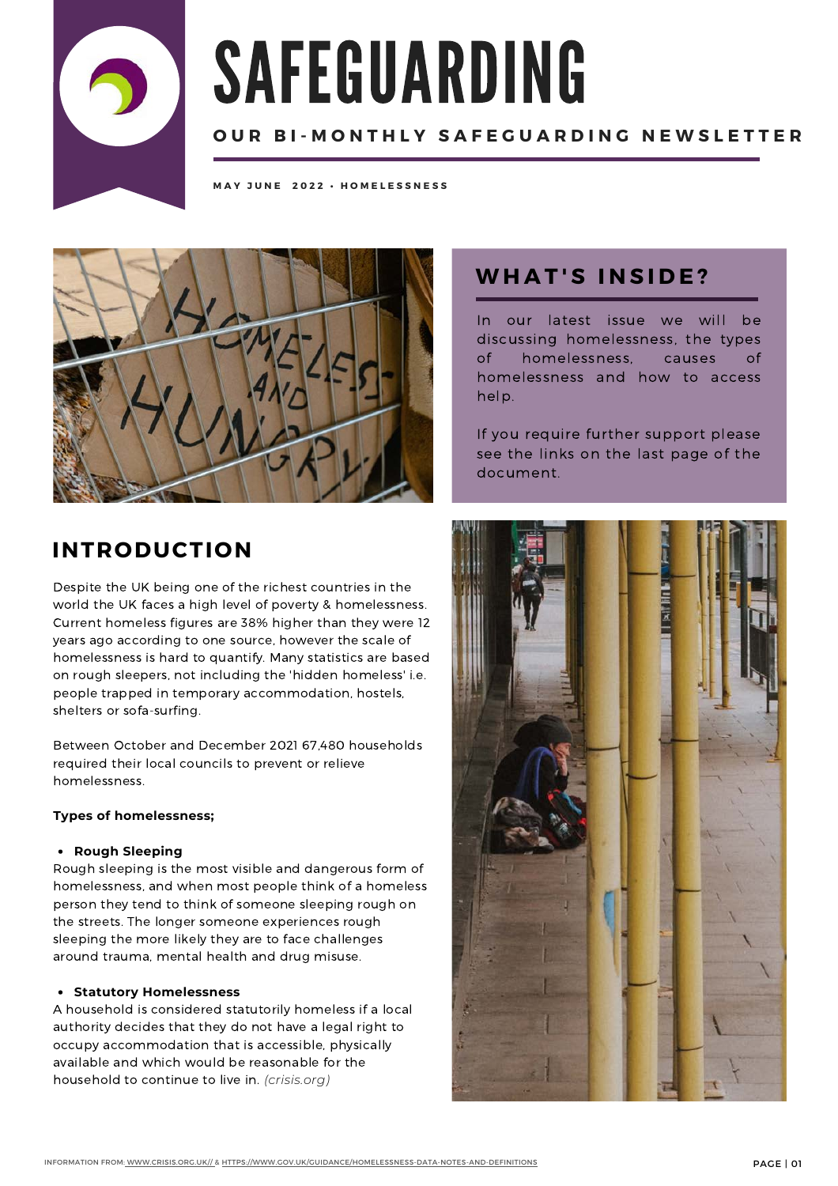

# SAFEGUARDING

## **OUR BI-MONTHLY SAFEGUARDING NEWSLETTER**

**M A Y J U N E 2 0 2 2 • H O M E L E S S N E S S**



# **W H A T ' S I N S I D E ?**

In our latest issue we will be discussing homelessness, the types of homelessness, causes of homelessness and how to access help.

If you require further support please see the links on the last page of the document.

# **INTRODUCTION**

Despite the UK being one of the richest countries in the world the UK faces a high level of poverty & homelessness. Current homeless figures are 38% higher than they were 12 years ago according to one source, however the scale of homelessness is hard to quantify. Many statistics are based on rough sleepers, not including the 'hidden homeless' i.e. people trapped in temporary accommodation, hostels, shelters or sofa-surfing.

Between October and December 2021 67,480 households required their local councils to prevent or relieve homelessness.

#### **Types of homelessness;**

#### **Rough Sleeping**

Rough sleeping is the most visible and dangerous form of homelessness, and when most people think of a homeless person they tend to think of someone sleeping rough on the streets. The longer someone experiences rough sleeping the more likely they are to face challenges around trauma, mental health and drug misuse.

#### **Statutory Homelessness**

A household is considered statutorily homeless if a local authority decides that they do not have a legal right to occupy accommodation that is accessible, physically available and which would be reasonable for the household to continue to live in. *(crisis.org)*

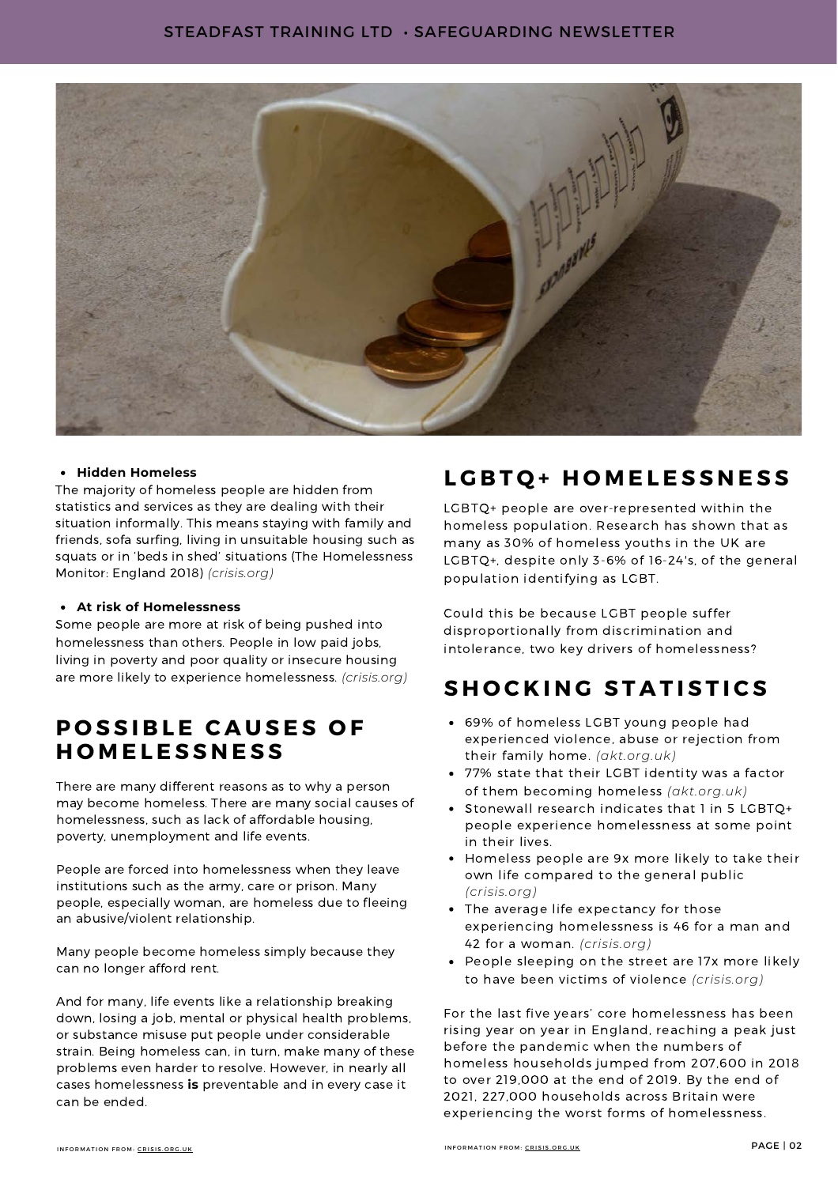

#### **Hidden Homeless**

The majority of homeless people are hidden from statistics and services as they are dealing with their situation informally. This means staying with family and friends, sofa surfing, living in unsuitable housing such as squats or in 'beds in shed' situations (The [Homelessness](https://www.crisis.org.uk/media/238700/homelessness_monitor_england_2018.pdf) [Monitor: England](https://www.crisis.org.uk/media/238700/homelessness_monitor_england_2018.pdf) 2018) *(crisis.org)*

#### **At risk of Homelessness**

Some people are more at risk of being pushed into homelessness than others. People in low paid jobs, living in poverty and poor quality or insecure housing are more likely to experience homelessness. *(crisis.org)*

# **POSSIBLE CAUSES OF H O M E L E S S N E S S**

There are many different reasons as to why a person may become homeless. There are many social causes of homelessness, such as lack of affordable housing, poverty, unemployment and life events.

People are forced into homelessness when they leave institutions such as the army, care or prison. Many people, especially woman, are homeless due to fleeing an abusive/violent relationship.

Many people become homeless simply because they can no longer afford rent.

And for many, life events like a relationship breaking down, losing a job, mental or physical health problems, or substance misuse put people under considerable strain. Being homeless can, in turn, make many of these problems even harder to resolve. However, in nearly all cases homelessness **is** preventable and in every case it can be ended.

# **L G B T Q + H O M E L E S S N E S S**

LGBTQ+ people are over-represented within the homeless population. Research has shown that as many as 30% of homeless youths in the UK are LGBTQ+, despite only 3-6% of 16-24's, of the general population identifying as LGBT.

Could this be because LGBT people suffer disproportionally from discrimination and intolerance, two key drivers of homelessness?

# **S H O C K I N G S T A T I S T I C S**

- 69% of homeless LGBT young people had experienced violence, abuse or rejection from their family home. *(akt.org.uk)*
- 77% state that their LGBT identity was a factor of them becoming homeless *(akt.org.uk)*
- Stonewall research indicates that 1 in 5 LGBTQ+ people experience homelessness at some point in their lives.
- Homeless people are 9x more likely to take their own life compared to the general public *(crisis.org)*
- The average life expectancy for those experiencing homelessness is 46 for a man and 42 for a woman. *(crisis.org)*
- People sleeping on the street are 17x more likely to have been victims of violence *(crisis.org)*

For the last five years' core homelessness has been rising year on year in England, reaching a peak just before the pandemic when the numbers of homeless households jumped from 207,600 in 2018 to over 219,000 at the end of 2019. By the end of 2021, 227,000 households across Britain were experiencing the worst forms of homelessness.